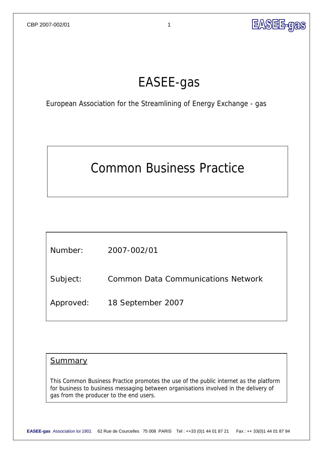

### EASEE-gas

European Association for the Streamlining of Energy Exchange - gas

# Common Business Practice

| Number:   | 2007-002/01                               |
|-----------|-------------------------------------------|
| Subject:  | <b>Common Data Communications Network</b> |
| Approved: | 18 September 2007                         |

### **Summary**

This Common Business Practice promotes the use of the public internet as the platform for business to business messaging between organisations involved in the delivery of gas from the producer to the end users.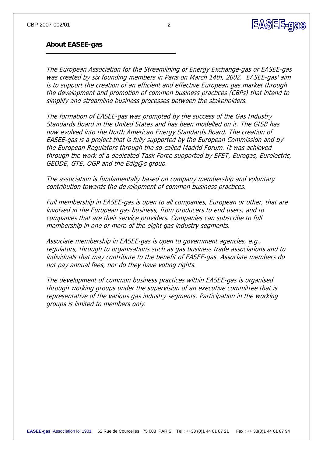### **EASEE-gas**

#### **About EASEE-gas**

The European Association for the Streamlining of Energy Exchange-gas or EASEE-gas was created by six founding members in Paris on March 14th, 2002. EASEE-gas' aim is to support the creation of an efficient and effective European gas market through the development and promotion of common business practices (CBPs) that intend to simplify and streamline business processes between the stakeholders.

The formation of EASEE-gas was prompted by the success of the Gas Industry Standards Board in the United States and has been modelled on it. The GISB has now evolved into the North American Energy Standards Board. The creation of EASEE-gas is a project that is fully supported by the European Commission and by the European Regulators through the so-called Madrid Forum. It was achieved through the work of a dedicated Task Force supported by EFET, Eurogas, Eurelectric, GEODE, GTE, OGP and the Edig@s group.

The association is fundamentally based on company membership and voluntary contribution towards the development of common business practices.

Full membership in EASEE-gas is open to all companies, European or other, that are involved in the European gas business, from producers to end users, and to companies that are their service providers. Companies can subscribe to full membership in one or more of the eight gas industry segments.

Associate membership in EASEE-gas is open to government agencies, e.g., regulators, through to organisations such as gas business trade associations and to individuals that may contribute to the benefit of EASEE-gas. Associate members do not pay annual fees, nor do they have voting rights.

The development of common business practices within EASEE-gas is organised through working groups under the supervision of an executive committee that is representative of the various gas industry segments. Participation in the working groups is limited to members only.